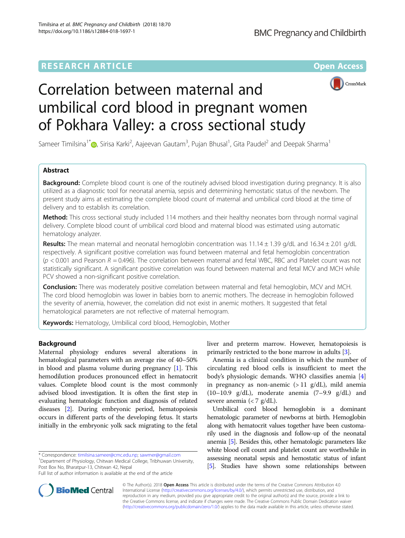## **RESEARCH ARTICLE External Structure Community Community Community Community Community Community Community Community**



# Correlation between maternal and umbilical cord blood in pregnant women of Pokhara Valley: a cross sectional study

Sameer Timilsina<sup>1\*</sup>�, Sirisa Karki<sup>2</sup>, Aajeevan Gautam<sup>3</sup>, Pujan Bhusal<sup>1</sup>, Gita Paudel<sup>2</sup> and Deepak Sharma<sup>1</sup>

## Abstract

**Background:** Complete blood count is one of the routinely advised blood investigation during pregnancy. It is also utilized as a diagnostic tool for neonatal anemia, sepsis and determining hemostatic status of the newborn. The present study aims at estimating the complete blood count of maternal and umbilical cord blood at the time of delivery and to establish its correlation.

Method: This cross sectional study included 114 mothers and their healthy neonates born through normal vaginal delivery. Complete blood count of umbilical cord blood and maternal blood was estimated using automatic hematology analyzer.

Results: The mean maternal and neonatal hemoglobin concentration was 11.14  $\pm$  1.39 g/dL and 16.34  $\pm$  2.01 g/dL respectively. A significant positive correlation was found between maternal and fetal hemoglobin concentration ( $p$  < 0.001 and Pearson R = 0.496). The correlation between maternal and fetal WBC, RBC and Platelet count was not statistically significant. A significant positive correlation was found between maternal and fetal MCV and MCH while PCV showed a non-significant positive correlation.

**Conclusion:** There was moderately positive correlation between maternal and fetal hemoglobin, MCV and MCH. The cord blood hemoglobin was lower in babies born to anemic mothers. The decrease in hemoglobin followed the severity of anemia, however, the correlation did not exist in anemic mothers. It suggested that fetal hematological parameters are not reflective of maternal hemogram.

Keywords: Hematology, Umbilical cord blood, Hemoglobin, Mother

## Background

Maternal physiology endures several alterations in hematological parameters with an average rise of 40–50% in blood and plasma volume during pregnancy [[1\]](#page-4-0). This hemodilution produces pronounced effect in hematocrit values. Complete blood count is the most commonly advised blood investigation. It is often the first step in evaluating hematologic function and diagnosis of related diseases [\[2](#page-4-0)]. During embryonic period, hematopoiesis occurs in different parts of the developing fetus. It starts initially in the embryonic yolk sack migrating to the fetal

\* Correspondence: [timilsina.sameer@cmc.edu.np](mailto:timilsina.sameer@cmc.edu.np); [sawmer@gmail.com](mailto:sawmer@gmail.com) <sup>1</sup>

Full list of author information is available at the end of the article



Anemia is a clinical condition in which the number of circulating red blood cells is insufficient to meet the body's physiologic demands. WHO classifies anemia [\[4](#page-4-0)] in pregnancy as non-anemic  $(>11 \text{ g}/dL)$ , mild anemia  $(10-10.9 \text{ g/dL})$ , moderate anemia  $(7-9.9 \text{ g/dL})$  and severe anemia  $\left\langle \langle 7 \rangle g/dL \right\rangle$ .

Umbilical cord blood hemoglobin is a dominant hematologic parameter of newborns at birth. Hemoglobin along with hematocrit values together have been customarily used in the diagnosis and follow-up of the neonatal anemia [\[5\]](#page-4-0). Besides this, other hematologic parameters like white blood cell count and platelet count are worthwhile in assessing neonatal sepsis and hemostatic status of infant [[5](#page-4-0)]. Studies have shown some relationships between



© The Author(s). 2018 Open Access This article is distributed under the terms of the Creative Commons Attribution 4.0 International License [\(http://creativecommons.org/licenses/by/4.0/](http://creativecommons.org/licenses/by/4.0/)), which permits unrestricted use, distribution, and reproduction in any medium, provided you give appropriate credit to the original author(s) and the source, provide a link to the Creative Commons license, and indicate if changes were made. The Creative Commons Public Domain Dedication waiver [\(http://creativecommons.org/publicdomain/zero/1.0/](http://creativecommons.org/publicdomain/zero/1.0/)) applies to the data made available in this article, unless otherwise stated.

Department of Physiology, Chitwan Medical College, Tribhuwan University, Post Box No, Bharatpur-13, Chitwan 42, Nepal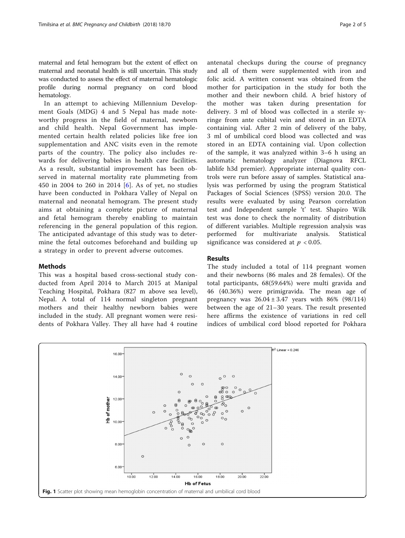<span id="page-1-0"></span>maternal and fetal hemogram but the extent of effect on maternal and neonatal health is still uncertain. This study was conducted to assess the effect of maternal hematologic profile during normal pregnancy on cord blood hematology.

In an attempt to achieving Millennium Development Goals (MDG) 4 and 5 Nepal has made noteworthy progress in the field of maternal, newborn and child health. Nepal Government has implemented certain health related policies like free ion supplementation and ANC visits even in the remote parts of the country. The policy also includes rewards for delivering babies in health care facilities. As a result, substantial improvement has been observed in maternal mortality rate plummeting from 450 in 2004 to 260 in 2014 [[6\]](#page-4-0). As of yet, no studies have been conducted in Pokhara Valley of Nepal on maternal and neonatal hemogram. The present study aims at obtaining a complete picture of maternal and fetal hemogram thereby enabling to maintain referencing in the general population of this region. The anticipated advantage of this study was to determine the fetal outcomes beforehand and building up a strategy in order to prevent adverse outcomes.

## Methods

This was a hospital based cross-sectional study conducted from April 2014 to March 2015 at Manipal Teaching Hospital, Pokhara (827 m above sea level), Nepal. A total of 114 normal singleton pregnant mothers and their healthy newborn babies were included in the study. All pregnant women were residents of Pokhara Valley. They all have had 4 routine antenatal checkups during the course of pregnancy and all of them were supplemented with iron and folic acid. A written consent was obtained from the mother for participation in the study for both the mother and their newborn child. A brief history of the mother was taken during presentation for delivery. 3 ml of blood was collected in a sterile syringe from ante cubital vein and stored in an EDTA containing vial. After 2 min of delivery of the baby, 3 ml of umbilical cord blood was collected and was stored in an EDTA containing vial. Upon collection of the sample, it was analyzed within 3–6 h using an automatic hematology analyzer (Diagnova RFCL lablife h3d premier). Appropriate internal quality controls were run before assay of samples. Statistical analysis was performed by using the program Statistical Packages of Social Sciences (SPSS) version 20.0. The results were evaluated by using Pearson correlation test and Independent sample 't' test. Shapiro Wilk test was done to check the normality of distribution of different variables. Multiple regression analysis was performed for multivariate analysis. Statistical significance was considered at  $p < 0.05$ .

#### Results

The study included a total of 114 pregnant women and their newborns (86 males and 28 females). Of the total participants, 68(59.64%) were multi gravida and 46 (40.36%) were primigravida. The mean age of pregnancy was  $26.04 \pm 3.47$  years with 86% (98/114) between the age of 21–30 years. The result presented here affirms the existence of variations in red cell indices of umbilical cord blood reported for Pokhara

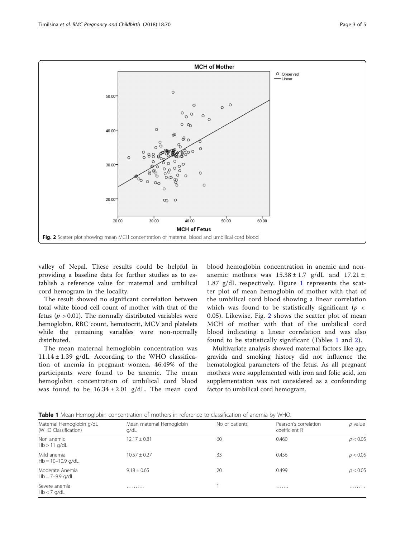

valley of Nepal. These results could be helpful in providing a baseline data for further studies as to establish a reference value for maternal and umbilical cord hemogram in the locality.

The result showed no significant correlation between total white blood cell count of mother with that of the fetus ( $p > 0.01$ ). The normally distributed variables were hemoglobin, RBC count, hematocrit, MCV and platelets while the remaining variables were non-normally distributed.

The mean maternal hemoglobin concentration was  $11.14 \pm 1.39$  g/dL. According to the WHO classification of anemia in pregnant women, 46.49% of the participants were found to be anemic. The mean hemoglobin concentration of umbilical cord blood was found to be  $16.34 \pm 2.01$  g/dL. The mean cord blood hemoglobin concentration in anemic and nonanemic mothers was  $15.38 \pm 1.7$  g/dL and  $17.21 \pm$ 1.87 g/dL respectively. Figure [1](#page-1-0) represents the scatter plot of mean hemoglobin of mother with that of the umbilical cord blood showing a linear correlation which was found to be statistically significant ( $p <$ 0.05). Likewise, Fig. 2 shows the scatter plot of mean MCH of mother with that of the umbilical cord blood indicating a linear correlation and was also found to be statistically significant (Tables 1 and [2](#page-3-0)).

Multivariate analysis showed maternal factors like age, gravida and smoking history did not influence the hematological parameters of the fetus. As all pregnant mothers were supplemented with iron and folic acid, ion supplementation was not considered as a confounding factor to umbilical cord hemogram.

Table 1 Mean Hemoglobin concentration of mothers in reference to classification of anemia by WHO.

| Maternal Hemoglobin g/dL<br>(WHO Classification) | Mean maternal Hemoglobin<br>g/dL | No of patients | Pearson's correlation<br>coefficient R | $p$ value |  |  |
|--------------------------------------------------|----------------------------------|----------------|----------------------------------------|-----------|--|--|
| Non anemic<br>$Hb > 11$ g/dL                     | $12.17 \pm 0.81$                 | 60             | 0.460                                  | p < 0.05  |  |  |
| Mild anemia<br>$Hb = 10-10.9$ g/dL               | $10.57 \pm 0.27$                 | 33             | 0.456                                  | p < 0.05  |  |  |
| Moderate Anemia<br>$Hb = 7-9.9$ g/dL             | $9.18 \pm 0.65$                  | 20             | 0.499                                  | p < 0.05  |  |  |
| Severe anemia<br>$Hb < 7$ g/dL                   | .                                |                | .                                      | .         |  |  |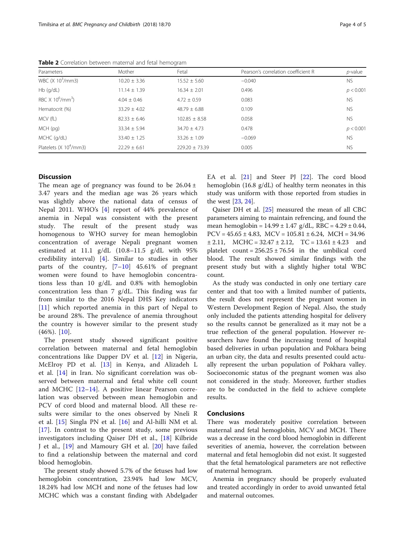| Parameters                                 | Mother           | Fetal             | Pearson's correlation coefficient R | $p$ -value |
|--------------------------------------------|------------------|-------------------|-------------------------------------|------------|
| WBC $(X 103/mm3)$                          | $10.20 \pm 3.36$ | $15.52 \pm 5.60$  | $-0.040$                            | <b>NS</b>  |
| $Hb$ (g/dL)                                | $11.14 \pm 1.39$ | $16.34 \pm 2.01$  | 0.496                               | p < 0.001  |
| RBC $X$ 10 <sup>6</sup> /mm <sup>3</sup> ) | $4.04 + 0.46$    | $4.72 + 0.59$     | 0.083                               | <b>NS</b>  |
| Hematocrit (%)                             | $33.29 \pm 4.02$ | $48.79 + 6.88$    | 0.109                               | <b>NS</b>  |
| MCV (fL)                                   | $82.33 \pm 6.46$ | $102.85 \pm 8.58$ | 0.058                               | <b>NS</b>  |
| MCH (pg)                                   | $33.34 \pm 5.94$ | $34.70 \pm 4.73$  | 0.478                               | p < 0.001  |
| MCHC (g/dL)                                | $33.40 \pm 1.25$ | $33.26 \pm 1.09$  | $-0.069$                            | <b>NS</b>  |
| Platelets $(X 104/mm3)$                    | $22.29 \pm 6.61$ | $229.20 + 73.39$  | 0.005                               | <b>NS</b>  |

<span id="page-3-0"></span>Table 2 Correlation between maternal and fetal hemogram

### **Discussion**

The mean age of pregnancy was found to be  $26.04 \pm$ 3.47 years and the median age was 26 years which was slightly above the national data of census of Nepal 2011. WHO's [[4](#page-4-0)] report of 44% prevalence of anemia in Nepal was consistent with the present study. The result of the present study was homogenous to WHO survey for mean hemoglobin concentration of average Nepali pregnant women estimated at 11.1 g/dL (10.8–11.5 g/dL with 95% credibility interval) [[4\]](#page-4-0). Similar to studies in other parts of the country,  $[7-10]$  $[7-10]$  $[7-10]$  $[7-10]$  45.61% of pregnant women were found to have hemoglobin concentrations less than 10 g/dL and 0.8% with hemoglobin concentration less than 7 g/dL. This finding was far from similar to the 2016 Nepal DHS Key indicators [[11\]](#page-4-0) which reported anemia in this part of Nepal to be around 28%. The prevalence of anemia throughout the country is however similar to the present study  $(46\%).$  [[10\]](#page-4-0).

The present study showed significant positive correlation between maternal and fetal hemoglobin concentrations like Dapper DV et al. [[12\]](#page-4-0) in Nigeria, McElroy PD et al. [\[13](#page-4-0)] in Kenya, and Alizadeh L et al. [\[14](#page-4-0)] in Iran. No significant correlation was observed between maternal and fetal white cell count and MCHC [[12](#page-4-0)–[14\]](#page-4-0). A positive linear Pearson correlation was observed between mean hemoglobin and PCV of cord blood and maternal blood. All these results were similar to the ones observed by Nneli R et al. [\[15](#page-4-0)] Singla PN et al. [[16](#page-4-0)] and Al-hilli NM et al. [[17\]](#page-4-0). In contrast to the present study, some previous investigators including Qaiser DH et al., [[18\]](#page-4-0) Kilbride J et al., [[19\]](#page-4-0) and Mamoury GH et al. [\[20](#page-4-0)] have failed to find a relationship between the maternal and cord blood hemoglobin.

The present study showed 5.7% of the fetuses had low hemoglobin concentration, 23.94% had low MCV, 18.24% had low MCH and none of the fetuses had low MCHC which was a constant finding with Abdelgader EA et al. [[21](#page-4-0)] and Steer PJ [\[22](#page-4-0)]. The cord blood hemoglobin (16.8 g/dL) of healthy term neonates in this study was uniform with those reported from studies in the west [[23,](#page-4-0) [24\]](#page-4-0).

Qaiser DH et al. [[25\]](#page-4-0) measured the mean of all CBC parameters aiming to maintain refrencing, and found the mean hemoglobin =  $14.99 \pm 1.47$  g/dL, RBC =  $4.29 \pm 0.44$ ,  $PCV = 45.65 \pm 4.83$ ,  $MCV = 105.81 \pm 6.24$ ,  $MCH = 34.96$  $\pm 2.11$ , MCHC = 32.47  $\pm 2.12$ , TC = 13.61  $\pm 4.23$  and platelet count =  $256.25 \pm 76.54$  in the umbilical cord blood. The result showed similar findings with the present study but with a slightly higher total WBC count.

As the study was conducted in only one tertiary care center and that too with a limited number of patients, the result does not represent the pregnant women in Western Development Region of Nepal. Also, the study only included the patients attending hospital for delivery so the results cannot be generalized as it may not be a true reflection of the general population. However researchers have found the increasing trend of hospital based deliveries in urban population and Pokhara being an urban city, the data and results presented could actually represent the urban population of Pokhara valley. Socioeconomic status of the pregnant women was also not considered in the study. Moreover, further studies are to be conducted in the field to achieve complete results.

## **Conclusions**

There was moderately positive correlation between maternal and fetal hemoglobin, MCV and MCH. There was a decrease in the cord blood hemoglobin in different severities of anemia, however, the correlation between maternal and fetal hemoglobin did not exist. It suggested that the fetal hematological parameters are not reflective of maternal hemogram.

Anemia in pregnancy should be properly evaluated and treated accordingly in order to avoid unwanted fetal and maternal outcomes.